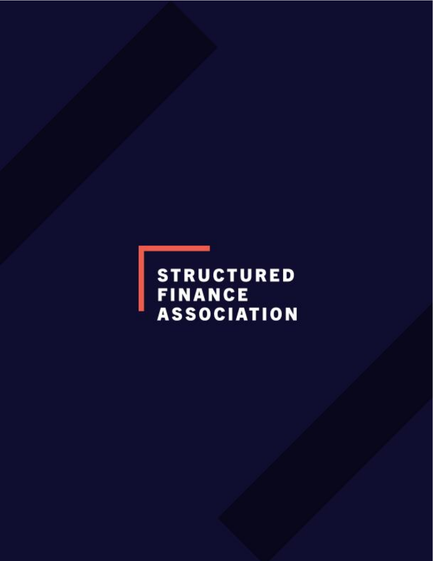**STRUCTURED FINANCE ASSOCIATION**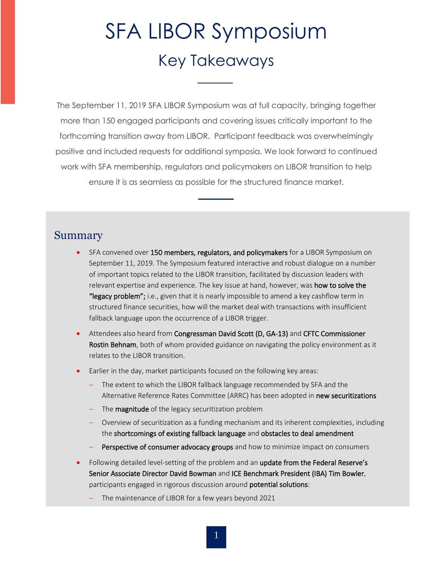# SFA LIBOR Symposium Key Takeaways

The September 11, 2019 SFA LIBOR Symposium was at full capacity, bringing together more than 150 engaged participants and covering issues critically important to the forthcoming transition away from LIBOR. Participant feedback was overwhelmingly positive and included requests for additional symposia. We look forward to continued work with SFA membership, regulators and policymakers on LIBOR transition to help ensure it is as seamless as possible for the structured finance market.

#### Summary

- SFA convened over 150 members, regulators, and policymakers for a LIBOR Symposium on September 11, 2019. The Symposium featured interactive and robust dialogue on a number of important topics related to the LIBOR transition, facilitated by discussion leaders with relevant expertise and experience. The key issue at hand, however, was **how to solve the** "legacy problem"; i.e., given that it is nearly impossible to amend a key cashflow term in structured finance securities, how will the market deal with transactions with insufficient fallback language upon the occurrence of a LIBOR trigger.
- Attendees also heard from Congressman David Scott (D, GA-13) and CFTC Commissioner Rostin Behnam, both of whom provided guidance on navigating the policy environment as it relates to the LIBOR transition.
- Earlier in the day, market participants focused on the following key areas:
	- The extent to which the LIBOR fallback language recommended by SFA and the Alternative Reference Rates Committee (ARRC) has been adopted in new securitizations
	- The **magnitude** of the legacy securitization problem
	- − Overview of securitization as a funding mechanism and its inherent complexities, including the shortcomings of existing fallback language and obstacles to deal amendment
	- Perspective of consumer advocacy groups and how to minimize impact on consumers
- Following detailed level-setting of the problem and an update from the Federal Reserve's Senior Associate Director David Bowman and ICE Benchmark President (IBA) Tim Bowler, participants engaged in rigorous discussion around potential solutions:
	- The maintenance of LIBOR for a few years beyond 2021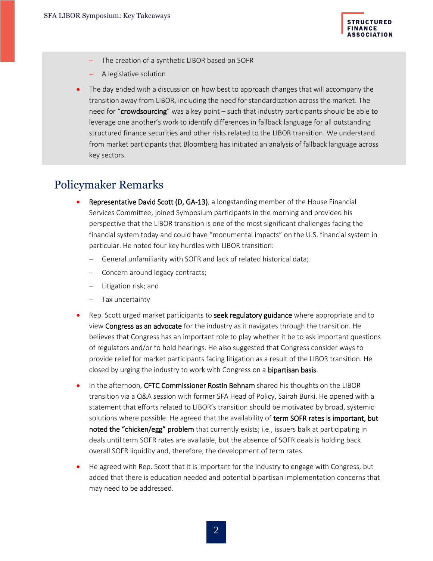

- − The creation of a synthetic LIBOR based on SOFR
- − A legislative solution
- The day ended with a discussion on how best to approach changes that will accompany the transition away from LIBOR, including the need for standardization across the market. The need for "crowdsourcing" was a key point – such that industry participants should be able to leverage one another's work to identify differences in fallback language for all outstanding structured finance securities and other risks related to the LIBOR transition. We understand from market participants that Bloomberg has initiated an analysis of fallback language across key sectors.

#### Policymaker Remarks

- Representative David Scott (D, GA-13), a longstanding member of the House Financial Services Committee, joined Symposium participants in the morning and provided his perspective that the LIBOR transition is one of the most significant challenges facing the financial system today and could have "monumental impacts" on the U.S. financial system in particular. He noted four key hurdles with LIBOR transition:
	- − General unfamiliarity with SOFR and lack of related historical data;
	- − Concern around legacy contracts;
	- − Litigation risk; and
	- − Tax uncertainty
- Rep. Scott urged market participants to **seek regulatory guidance** where appropriate and to view Congress as an advocate for the industry as it navigates through the transition. He believes that Congress has an important role to play whether it be to ask important questions of regulators and/or to hold hearings. He also suggested that Congress consider ways to provide relief for market participants facing litigation as a result of the LIBOR transition. He closed by urging the industry to work with Congress on a **bipartisan basis**.
- In the afternoon, CFTC Commissioner Rostin Behnam shared his thoughts on the LIBOR transition via a Q&A session with former SFA Head of Policy, Sairah Burki. He opened with a statement that efforts related to LIBOR's transition should be motivated by broad, systemic solutions where possible. He agreed that the availability of term SOFR rates is important, but noted the "chicken/egg" problem that currently exists; i.e., issuers balk at participating in deals until term SOFR rates are available, but the absence of SOFR deals is holding back overall SOFR liquidity and, therefore, the development of term rates.
- He agreed with Rep. Scott that it is important for the industry to engage with Congress, but added that there is education needed and potential bipartisan implementation concerns that may need to be addressed.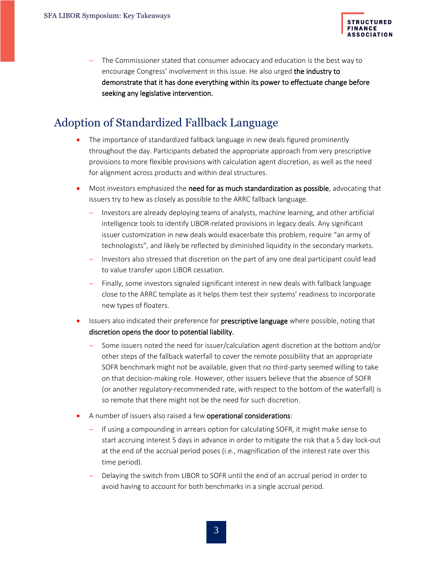

The Commissioner stated that consumer advocacy and education is the best way to encourage Congress' involvement in this issue. He also urged the industry to demonstrate that it has done everything within its power to effectuate change before seeking any legislative intervention.

### Adoption of Standardized Fallback Language

- The importance of standardized fallback language in new deals figured prominently throughout the day. Participants debated the appropriate approach from very prescriptive provisions to more flexible provisions with calculation agent discretion, as well as the need for alignment across products and within deal structures.
- Most investors emphasized the need for as much standardization as possible, advocating that issuers try to hew as closely as possible to the ARRC fallback language.
	- Investors are already deploying teams of analysts, machine learning, and other artificial intelligence tools to identify LIBOR-related provisions in legacy deals. Any significant issuer customization in new deals would exacerbate this problem, require "an army of technologists", and likely be reflected by diminished liquidity in the secondary markets.
	- − Investors also stressed that discretion on the part of any one deal participant could lead to value transfer upon LIBOR cessation.
	- Finally, some investors signaled significant interest in new deals with fallback language close to the ARRC template as it helps them test their systems' readiness to incorporate new types of floaters.
- Issuers also indicated their preference for **prescriptive language** where possible, noting that discretion opens the door to potential liability.
	- − Some issuers noted the need for issuer/calculation agent discretion at the bottom and/or other steps of the fallback waterfall to cover the remote possibility that an appropriate SOFR benchmark might not be available, given that no third-party seemed willing to take on that decision-making role. However, other issuers believe that the absence of SOFR (or another regulatory-recommended rate, with respect to the bottom of the waterfall) is so remote that there might not be the need for such discretion.
- A number of issuers also raised a few operational considerations:
	- − If using a compounding in arrears option for calculating SOFR, it might make sense to start accruing interest 5 days in advance in order to mitigate the risk that a 5 day lock-out at the end of the accrual period poses (i.e., magnification of the interest rate over this time period).
	- Delaying the switch from LIBOR to SOFR until the end of an accrual period in order to avoid having to account for both benchmarks in a single accrual period.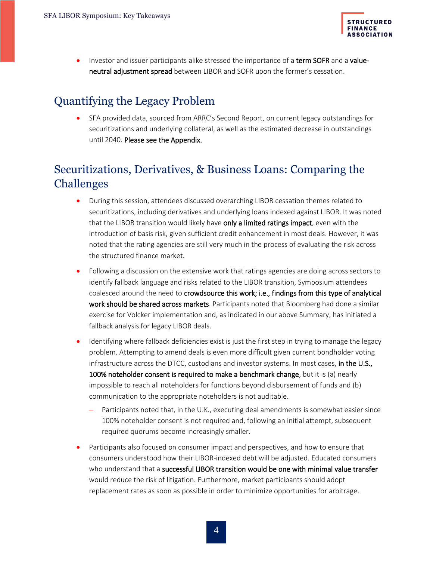

Investor and issuer participants alike stressed the importance of a term SOFR and a valueneutral adjustment spread between LIBOR and SOFR upon the former's cessation.

## Quantifying the Legacy Problem

• SFA provided data, sourced from ARRC's Second Report, on current legacy outstandings for securitizations and underlying collateral, as well as the estimated decrease in outstandings until 2040. Please see the Appendix.

## Securitizations, Derivatives, & Business Loans: Comparing the Challenges

- During this session, attendees discussed overarching LIBOR cessation themes related to securitizations, including derivatives and underlying loans indexed against LIBOR. It was noted that the LIBOR transition would likely have only a limited ratings impact, even with the introduction of basis risk, given sufficient credit enhancement in most deals. However, it was noted that the rating agencies are still very much in the process of evaluating the risk across the structured finance market.
- Following a discussion on the extensive work that ratings agencies are doing across sectors to identify fallback language and risks related to the LIBOR transition, Symposium attendees coalesced around the need to crowdsource this work; i.e., findings from this type of analytical work should be shared across markets. Participants noted that Bloomberg had done a similar exercise for Volcker implementation and, as indicated in our above Summary, has initiated a fallback analysis for legacy LIBOR deals.
- Identifying where fallback deficiencies exist is just the first step in trying to manage the legacy problem. Attempting to amend deals is even more difficult given current bondholder voting infrastructure across the DTCC, custodians and investor systems. In most cases, in the U.S., 100% noteholder consent is required to make a benchmark change, but it is (a) nearly impossible to reach all noteholders for functions beyond disbursement of funds and (b) communication to the appropriate noteholders is not auditable.
	- Participants noted that, in the U.K., executing deal amendments is somewhat easier since 100% noteholder consent is not required and, following an initial attempt, subsequent required quorums become increasingly smaller.
- Participants also focused on consumer impact and perspectives, and how to ensure that consumers understood how their LIBOR-indexed debt will be adjusted. Educated consumers who understand that a successful LIBOR transition would be one with minimal value transfer would reduce the risk of litigation. Furthermore, market participants should adopt replacement rates as soon as possible in order to minimize opportunities for arbitrage.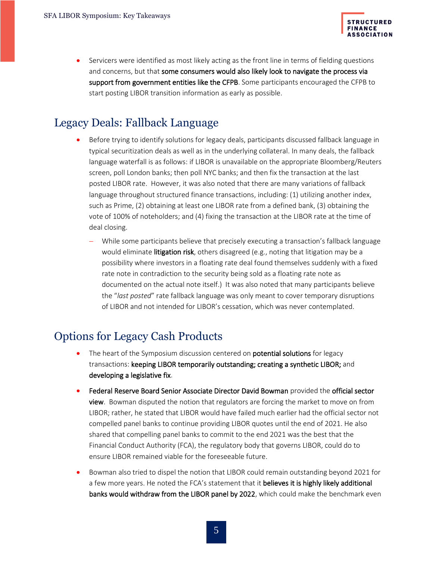

• Servicers were identified as most likely acting as the front line in terms of fielding questions and concerns, but that some consumers would also likely look to navigate the process via support from government entities like the CFPB. Some participants encouraged the CFPB to start posting LIBOR transition information as early as possible.

#### Legacy Deals: Fallback Language

- Before trying to identify solutions for legacy deals, participants discussed fallback language in typical securitization deals as well as in the underlying collateral. In many deals, the fallback language waterfall is as follows: if LIBOR is unavailable on the appropriate Bloomberg/Reuters screen, poll London banks; then poll NYC banks; and then fix the transaction at the last posted LIBOR rate. However, it was also noted that there are many variations of fallback language throughout structured finance transactions, including: (1) utilizing another index, such as Prime, (2) obtaining at least one LIBOR rate from a defined bank, (3) obtaining the vote of 100% of noteholders; and (4) fixing the transaction at the LIBOR rate at the time of deal closing.
	- While some participants believe that precisely executing a transaction's fallback language would eliminate litigation risk, others disagreed (e.g., noting that litigation may be a possibility where investors in a floating rate deal found themselves suddenly with a fixed rate note in contradiction to the security being sold as a floating rate note as documented on the actual note itself.) It was also noted that many participants believe the "*last posted*" rate fallback language was only meant to cover temporary disruptions of LIBOR and not intended for LIBOR's cessation, which was never contemplated.

### Options for Legacy Cash Products

- The heart of the Symposium discussion centered on **potential solutions** for legacy transactions: keeping LIBOR temporarily outstanding; creating a synthetic LIBOR; and developing a legislative fix.
- Federal Reserve Board Senior Associate Director David Bowman provided the official sector view. Bowman disputed the notion that regulators are forcing the market to move on from LIBOR; rather, he stated that LIBOR would have failed much earlier had the official sector not compelled panel banks to continue providing LIBOR quotes until the end of 2021. He also shared that compelling panel banks to commit to the end 2021 was the best that the Financial Conduct Authority (FCA), the regulatory body that governs LIBOR, could do to ensure LIBOR remained viable for the foreseeable future.
- Bowman also tried to dispel the notion that LIBOR could remain outstanding beyond 2021 for a few more years. He noted the FCA's statement that it believes it is highly likely additional banks would withdraw from the LIBOR panel by 2022, which could make the benchmark even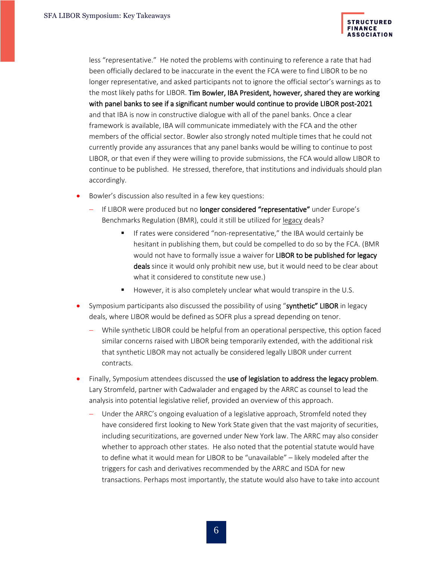

less "representative." He noted the problems with continuing to reference a rate that had been officially declared to be inaccurate in the event the FCA were to find LIBOR to be no longer representative, and asked participants not to ignore the official sector's warnings as to the most likely paths for LIBOR. Tim Bowler, IBA President, however, shared they are working with panel banks to see if a significant number would continue to provide LIBOR post-2021 and that IBA is now in constructive dialogue with all of the panel banks. Once a clear framework is available, IBA will communicate immediately with the FCA and the other members of the official sector. Bowler also strongly noted multiple times that he could not currently provide any assurances that any panel banks would be willing to continue to post LIBOR, or that even if they were willing to provide submissions, the FCA would allow LIBOR to continue to be published. He stressed, therefore, that institutions and individuals should plan accordingly.

- Bowler's discussion also resulted in a few key questions:
	- − If LIBOR were produced but no longer considered "representative" under Europe's Benchmarks Regulation (BMR), could it still be utilized for legacy deals?
		- If rates were considered "non-representative," the IBA would certainly be hesitant in publishing them, but could be compelled to do so by the FCA. (BMR would not have to formally issue a waiver for LIBOR to be published for legacy deals since it would only prohibit new use, but it would need to be clear about what it considered to constitute new use.)
		- However, it is also completely unclear what would transpire in the U.S.
- Symposium participants also discussed the possibility of using "synthetic" LIBOR in legacy deals, where LIBOR would be defined as SOFR plus a spread depending on tenor.
	- − While synthetic LIBOR could be helpful from an operational perspective, this option faced similar concerns raised with LIBOR being temporarily extended, with the additional risk that synthetic LIBOR may not actually be considered legally LIBOR under current contracts.
- Finally, Symposium attendees discussed the use of legislation to address the legacy problem. Lary Stromfeld, partner with Cadwalader and engaged by the ARRC as counsel to lead the analysis into potential legislative relief, provided an overview of this approach.
	- Under the ARRC's ongoing evaluation of a legislative approach, Stromfeld noted they have considered first looking to New York State given that the vast majority of securities, including securitizations, are governed under New York law. The ARRC may also consider whether to approach other states. He also noted that the potential statute would have to define what it would mean for LIBOR to be "unavailable" – likely modeled after the triggers for cash and derivatives recommended by the ARRC and ISDA for new transactions. Perhaps most importantly, the statute would also have to take into account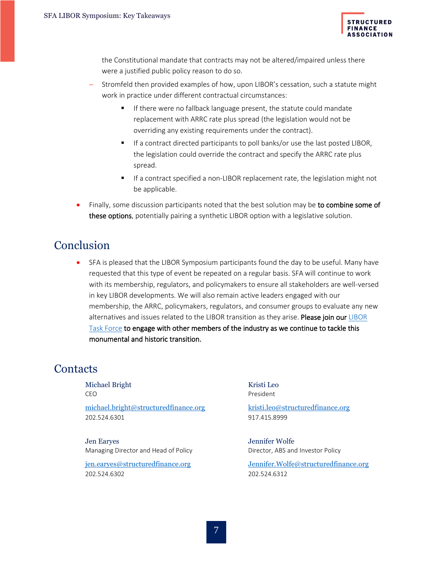

the Constitutional mandate that contracts may not be altered/impaired unless there were a justified public policy reason to do so.

- Stromfeld then provided examples of how, upon LIBOR's cessation, such a statute might work in practice under different contractual circumstances:
	- **■** If there were no fallback language present, the statute could mandate replacement with ARRC rate plus spread (the legislation would not be overriding any existing requirements under the contract).
	- **EXTERCT** If a contract directed participants to poll banks/or use the last posted LIBOR, the legislation could override the contract and specify the ARRC rate plus spread.
	- If a contract specified a non-LIBOR replacement rate, the legislation might not be applicable.
- Finally, some discussion participants noted that the best solution may be to combine some of these options, potentially pairing a synthetic LIBOR option with a legislative solution.

#### **Conclusion**

• SFA is pleased that the LIBOR Symposium participants found the day to be useful. Many have requested that this type of event be repeated on a regular basis. SFA will continue to work with its membership, regulators, and policymakers to ensure all stakeholders are well-versed in key LIBOR developments. We will also remain active leaders engaged with our membership, the ARRC, policymakers, regulators, and consumer groups to evaluate any new alternatives and issues related to the [LIBOR](https://structuredfinance.org/issues/libor-transition/) transition as they arise. Please join our LIBOR [Task Force](https://structuredfinance.org/issues/libor-transition/) to engage with other members of the industry as we continue to tackle this monumental and historic transition.

#### **Contacts**

Michael Bright CEO [michael.bright@structuredfinance.org](mailto:michael.bright@structuredfinance.org) 202.524.6301

Jen Earyes Managing Director and Head of Policy

[jen.earyes@structuredfinance.org](mailto:jen.earyes@structuredfinance.org) 202.524.6302

Kristi Leo President

kristi.leo@structuredfinance.org [917.415.8999](tel:212%20571%204489)

Jennifer Wolfe Director, ABS and Investor Policy

[Jennifer.Wolfe@structuredfinance.org](mailto:Jennifer.Wolfe@structuredfinance.org) 202.524.6312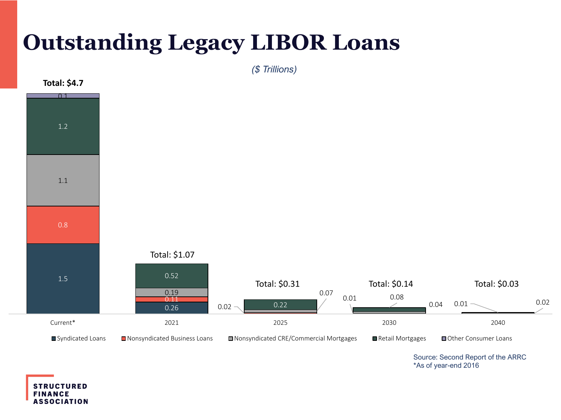## **Outstanding Legacy LIBOR Loans**



*(\$ Trillions)*

Source: Second Report of the ARRC \*As of year-end 2016

**STRUCTURED FINANCE ASSOCIATION**